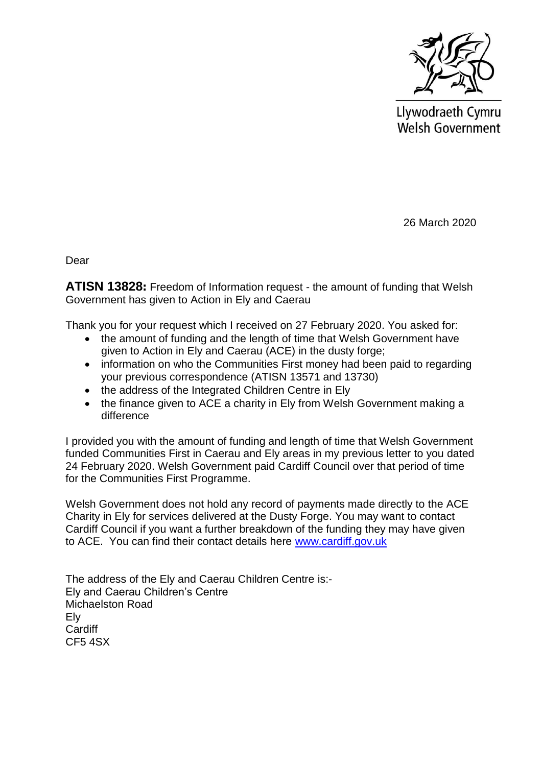

Llywodraeth Cymru Welsh Government

26 March 2020

Dear

**ATISN 13828:** Freedom of Information request - the amount of funding that Welsh Government has given to Action in Ely and Caerau

Thank you for your request which I received on 27 February 2020. You asked for:

- the amount of funding and the length of time that Welsh Government have given to Action in Ely and Caerau (ACE) in the dusty forge;
- information on who the Communities First money had been paid to regarding your previous correspondence (ATISN 13571 and 13730)
- the address of the Integrated Children Centre in Ely
- the finance given to ACE a charity in Ely from Welsh Government making a difference

I provided you with the amount of funding and length of time that Welsh Government funded Communities First in Caerau and Ely areas in my previous letter to you dated 24 February 2020. Welsh Government paid Cardiff Council over that period of time for the Communities First Programme.

Welsh Government does not hold any record of payments made directly to the ACE Charity in Ely for services delivered at the Dusty Forge. You may want to contact Cardiff Council if you want a further breakdown of the funding they may have given to ACE. You can find their contact details here [www.cardiff.gov.uk](http://www.cardiff.gov.uk/)

The address of the Ely and Caerau Children Centre is:- Ely and Caerau Children's Centre Michaelston Road Ely **Cardiff** CF5 4SX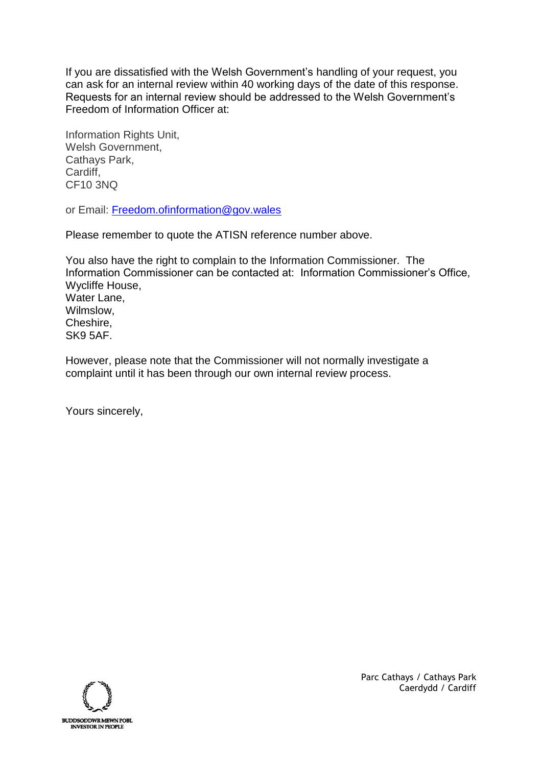If you are dissatisfied with the Welsh Government's handling of your request, you can ask for an internal review within 40 working days of the date of this response. Requests for an internal review should be addressed to the Welsh Government's Freedom of Information Officer at:

Information Rights Unit, Welsh Government, Cathays Park, Cardiff, CF10 3NQ

or Email: [Freedom.ofinformation@gov.wales](mailto:Freedom.ofinformation@gov.wales)

Please remember to quote the ATISN reference number above.

You also have the right to complain to the Information Commissioner. The Information Commissioner can be contacted at: Information Commissioner's Office, Wycliffe House, Water Lane, Wilmslow, Cheshire, SK9 5AF.

However, please note that the Commissioner will not normally investigate a complaint until it has been through our own internal review process.

Yours sincerely,



Parc Cathays / Cathays Park Caerdydd / Cardiff